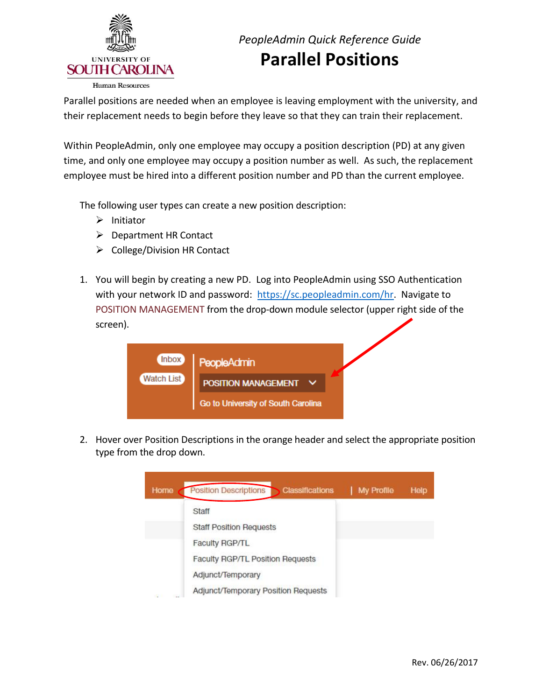

 Parallel positions are needed when an employee is leaving employment with the university, and their replacement needs to begin before they leave so that they can train their replacement.

 Within PeopleAdmin, only one employee may occupy a position description (PD) at any given time, and only one employee may occupy a position number as well. As such, the replacement employee must be hired into a different position number and PD than the current employee.

The following user types can create a new position description:

- $\triangleright$  Initiator
- Department HR Contact
- $\triangleright$  College/Division HR Contact
- 1. You will begin by creating a new PD. Log into PeopleAdmin using SSO Authentication with your network ID and password: [https://sc.peopleadmin.com/hr.](https://sc.peopleadmin.com/hr) Navigate to POSITION MANAGEMENT from the drop-down module selector (upper right side of the screen).



2. Hover over Position Descriptions in the orange header and select the appropriate position type from the drop down.

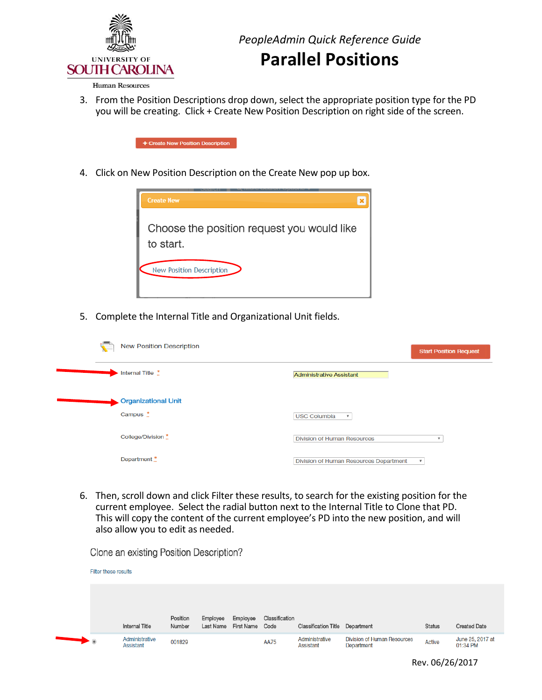

## **Parallel Positions**

**Human Resources** 

 3. From the Position Descriptions drop down, select the appropriate position type for the PD you will be creating. Click + Create New Position Description on right side of the screen.



4. Click on New Position Description on the Create New pop up box.



5. Complete the Internal Title and Organizational Unit fields.

| <b>New Position Description</b><br>$\mathbf{r}$             | <b>Start Position Request</b>                                       |
|-------------------------------------------------------------|---------------------------------------------------------------------|
| Internal Title *                                            | Administrative Assistant                                            |
| <b>Organizational Unit</b><br>Campus $\stackrel{*}{\ldots}$ | <b>USC Columbia</b><br>$\overline{\mathbf{v}}$                      |
| College/Division *                                          | <b>Division of Human Resources</b><br>$\boldsymbol{\mathrm{v}}$     |
| Department *                                                | Division of Human Resources Department<br>$\boldsymbol{\mathrm{v}}$ |

 6. Then, scroll down and click Filter these results, to search for the existing position for the current employee. Select the radial button next to the Internal Title to Clone that PD. This will copy the content of the current employee's PD into the new position, and will also allow you to edit as needed.

Clone an existing Position Description?

|                                                                                                             | Filter these results               |                    |                       |                        |                        |                                        |                                                  |               |                              |
|-------------------------------------------------------------------------------------------------------------|------------------------------------|--------------------|-----------------------|------------------------|------------------------|----------------------------------------|--------------------------------------------------|---------------|------------------------------|
|                                                                                                             |                                    |                    |                       |                        |                        |                                        |                                                  |               |                              |
|                                                                                                             | <b>Internal Title</b>              | Position<br>Number | Employee<br>Last Name | Employee<br>First Name | Classification<br>Code | <b>Classification Title Department</b> |                                                  | <b>Status</b> | <b>Created Date</b>          |
| $\begin{array}{c} \begin{array}{c} \text{ } \\ \text{ } \\ \text{ } \\ \text{ } \\ \end{array} \end{array}$ | Administrative<br><b>Assistant</b> | 001829             |                       |                        | <b>AA75</b>            | Administrative<br>Assistant            | <b>Division of Human Resources</b><br>Department | <b>Active</b> | June 25, 2017 at<br>01:34 PM |

Rev. 06/26/2017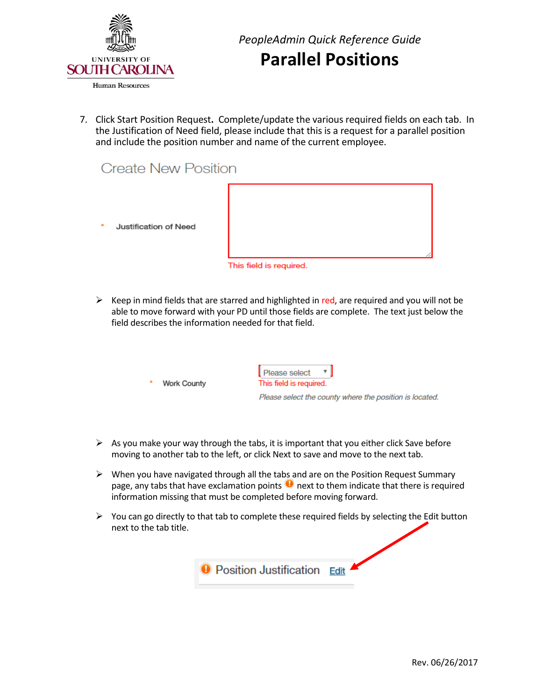

*PeopleAdmin Quick Reference Guide*  **Parallel Positions** 

 7. Click Start Position Request**.** Complete/update the various required fields on each tab. In the Justification of Need field, please include that this is a request for a parallel position and include the position number and name of the current employee.

## **Create New Position**

Justification of Need



This field is required.

 $\triangleright$  Keep in mind fields that are starred and highlighted in red, are required and you will not be able to move forward with your PD until those fields are complete. The text just below the field describes the information needed for that field.

|  | Work County |
|--|-------------|

Please select This field is required.

Please select the county where the position is located.

- $\triangleright$  As you make your way through the tabs, it is important that you either click Save before moving to another tab to the left, or click Next to save and move to the next tab.
- $\triangleright$  When you have navigated through all the tabs and are on the Position Request Summary page, any tabs that have exclamation points  $\bigcup$  next to them indicate that there is required information missing that must be completed before moving forward.
- $\triangleright$  You can go directly to that tab to complete these required fields by selecting the Edit button next to the tab title.